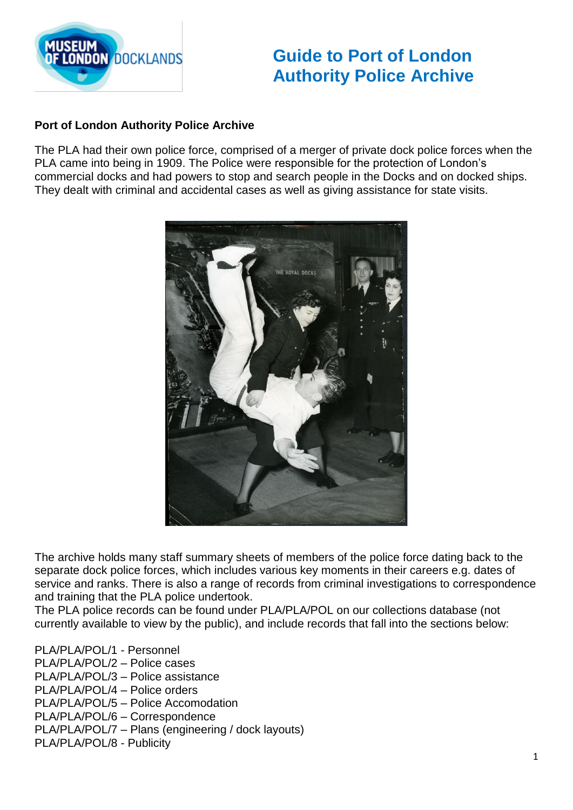

## **Guide to Port of London Authority Police Archive**

## **Port of London Authority Police Archive**

The PLA had their own police force, comprised of a merger of private dock police forces when the PLA came into being in 1909. The Police were responsible for the protection of London's commercial docks and had powers to stop and search people in the Docks and on docked ships. They dealt with criminal and accidental cases as well as giving assistance for state visits.



The archive holds many staff summary sheets of members of the police force dating back to the separate dock police forces, which includes various key moments in their careers e.g. dates of service and ranks. There is also a range of records from criminal investigations to correspondence and training that the PLA police undertook.

The PLA police records can be found under PLA/PLA/POL on our collections database (not currently available to view by the public), and include records that fall into the sections below:

PLA/PLA/POL/1 - Personnel

- PLA/PLA/POL/2 Police cases
- PLA/PLA/POL/3 Police assistance
- PLA/PLA/POL/4 Police orders
- PLA/PLA/POL/5 Police Accomodation
- PLA/PLA/POL/6 Correspondence
- PLA/PLA/POL/7 Plans (engineering / dock layouts)
- PLA/PLA/POL/8 Publicity